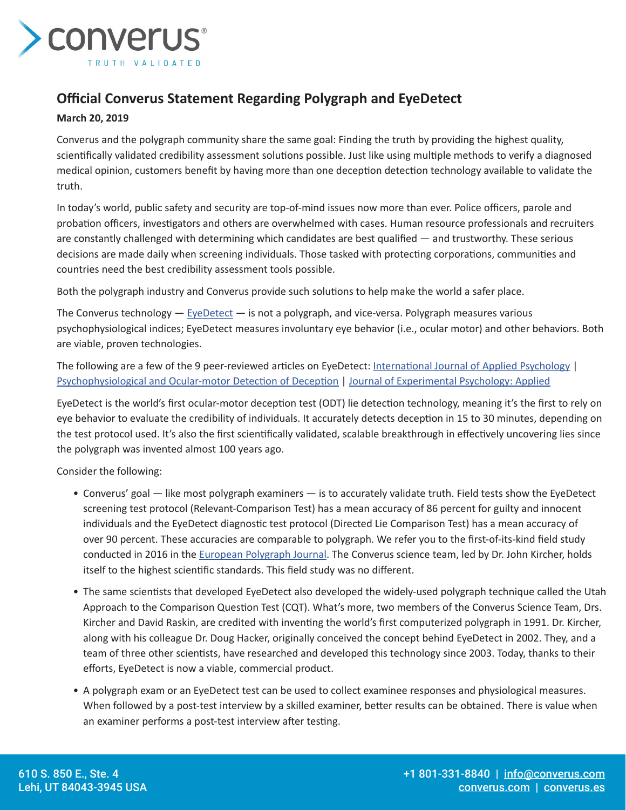

## **Official Converus Statement Regarding Polygraph and EyeDetect**

## **March 20, 2019**

Converus and the polygraph community share the same goal: Finding the truth by providing the highest quality, scientifically validated credibility assessment solutions possible. Just like using multiple methods to verify a diagnosed medical opinion, customers benefit by having more than one deception detection technology available to validate the truth.

In today's world, public safety and security are top-of-mind issues now more than ever. Police officers, parole and probation officers, investigators and others are overwhelmed with cases. Human resource professionals and recruiters are constantly challenged with determining which candidates are best qualified — and trustworthy. These serious decisions are made daily when screening individuals. Those tasked with protecting corporations, communities and countries need the best credibility assessment tools possible.

Both the polygraph industry and Converus provide such solutions to help make the world a safer place.

The Converus technology  $-$  [EyeDetect](https://converus.com/eyedetect/)  $-$  is not a polygraph, and vice-versa. Polygraph measures various psychophysiological indices; EyeDetect measures involuntary eye behavior (i.e., ocular motor) and other behaviors. Both are viable, proven technologies.

The following are a few of the 9 peer-reviewed articles on EyeDetect: [International Journal of Applied Psychology](https://converus.com/wp-content/uploads/2016/02/20160212-International-Journal-of-Applied-Psychology.pdf) | [Psychophysiological and Ocular-motor Detection of Deception](https://converus.com/wp-content/uploads/2020/10/Psychophysiological-and-ODT-Detection-of-Deception-English.pdf) | [Journal of Experimental Psychology: Applied](https://converus.com/wp-content/uploads/2020/10/Lying-Eyes.-Peer-reviewed-study-on-ODT.pdf)

EyeDetect is the world's first ocular-motor deception test (ODT) lie detection technology, meaning it's the first to rely on eye behavior to evaluate the credibility of individuals. It accurately detects deception in 15 to 30 minutes, depending on the test protocol used. It's also the first scientifically validated, scalable breakthrough in effectively uncovering lies since the polygraph was invented almost 100 years ago.

Consider the following:

- Converus' goal like most polygraph examiners is to accurately validate truth. Field tests show the EyeDetect screening test protocol (Relevant-Comparison Test) has a mean accuracy of 86 percent for guilty and innocent individuals and the EyeDetect diagnostic test protocol (Directed Lie Comparison Test) has a mean accuracy of over 90 percent. These accuracies are comparable to polygraph. We refer you to the first-of-its-kind field study conducted in 2016 in the [European Polygraph Journal.](https://converus.com/wp-content/uploads/2017/03/European-Polygraph-Journal_20161201.pdf) The Converus science team, led by Dr. John Kircher, holds itself to the highest scientific standards. This field study was no different.
- The same scientists that developed EyeDetect also developed the widely-used polygraph technique called the Utah Approach to the Comparison Question Test (CQT). What's more, two members of the Converus Science Team, Drs. Kircher and David Raskin, are credited with inventing the world's first computerized polygraph in 1991. Dr. Kircher, along with his colleague Dr. Doug Hacker, originally conceived the concept behind EyeDetect in 2002. They, and a team of three other scientists, have researched and developed this technology since 2003. Today, thanks to their efforts, EyeDetect is now a viable, commercial product.
- A polygraph exam or an EyeDetect test can be used to collect examinee responses and physiological measures. When followed by a post-test interview by a skilled examiner, better results can be obtained. There is value when an examiner performs a post-test interview after testing.